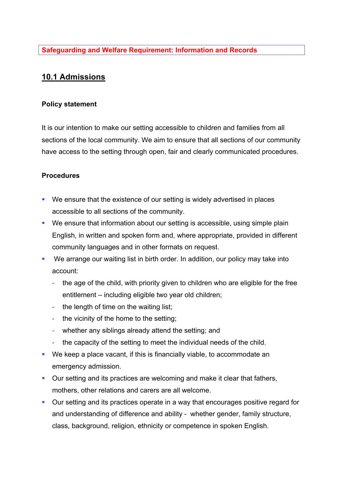## **10.1 Admissions**

## **Policy statement**

It is our intention to make our setting accessible to children and families from all sections of the local community. We aim to ensure that all sections of our community have access to the setting through open, fair and clearly communicated procedures.

## **Procedures**

- We ensure that the existence of our setting is widely advertised in places accessible to all sections of the community.
- We ensure that information about our setting is accessible, using simple plain English, in written and spoken form and, where appropriate, provided in different community languages and in other formats on request.
- We arrange our waiting list in birth order. In addition, our policy may take into account:
	- the age of the child, with priority given to children who are eligible for the free entitlement – including eligible two year old children;
	- the length of time on the waiting list;
	- the vicinity of the home to the setting;
	- whether any siblings already attend the setting; and
	- the capacity of the setting to meet the individual needs of the child.
- § We keep a place vacant, if this is financially viable, to accommodate an emergency admission.
- Our setting and its practices are welcoming and make it clear that fathers, mothers, other relations and carers are all welcome.
- Our setting and its practices operate in a way that encourages positive regard for and understanding of difference and ability - whether gender, family structure, class, background, religion, ethnicity or competence in spoken English.